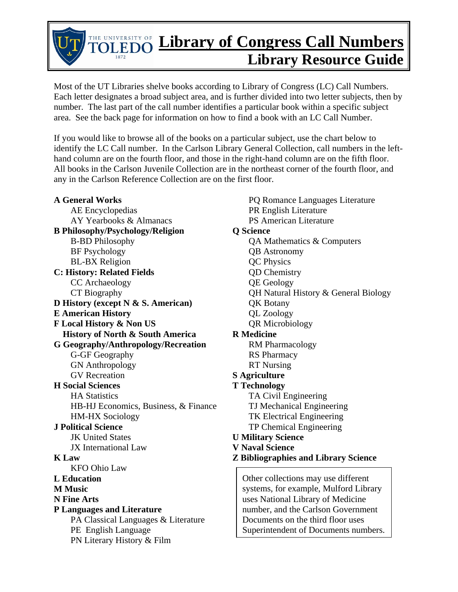## THE UNIVERSITY OF **Library of Congress Call Numbers Library Resource Guide**

Most of the UT Libraries shelve books according to Library of Congress (LC) Call Numbers. Each letter designates a broad subject area, and is further divided into two letter subjects, then by number. The last part of the call number identifies a particular book within a specific subject area. See the back page for information on how to find a book with an LC Call Number.

If you would like to browse all of the books on a particular subject, use the chart below to identify the LC Call number. In the Carlson Library General Collection, call numbers in the lefthand column are on the fourth floor, and those in the right-hand column are on the fifth floor. All books in the Carlson Juvenile Collection are in the northeast corner of the fourth floor, and any in the Carlson Reference Collection are on the first floor.

## **A General Works**

AE Encyclopedias AY Yearbooks & Almanacs **B Philosophy/Psychology/Religion**  B-BD Philosophy BF Psychology BL-BX Religion **C: History: Related Fields**  CC Archaeology CT Biography **D History (except N & S. American) E American History F Local History & Non US History of North & South America G Geography/Anthropology/Recreation**  G-GF Geography GN Anthropology GV Recreation **H Social Sciences**  HA Statistics HB-HJ Economics, Business, & Finance HM-HX Sociology **J Political Science**  JK United States JX International Law **K Law**  KFO Ohio Law **L Education M Music N Fine Arts P Languages and Literature**  PA Classical Languages & Literature PE English Language PN Literary History & Film

PQ Romance Languages Literature PR English Literature PS American Literature **Q Science**  QA Mathematics & Computers QB Astronomy QC Physics QD Chemistry QE Geology QH Natural History & General Biology QK Botany QL Zoology QR Microbiology **R Medicine**  RM Pharmacology RS Pharmacy RT Nursing **S Agriculture T Technology**  TA Civil Engineering TJ Mechanical Engineering TK Electrical Engineering TP Chemical Engineering **U Military Science V Naval Science Z Bibliographies and Library Science**  Other collections may use different systems, for example, Mulford Library uses National Library of Medicine number, and the Carlson Government Documents on the third floor uses

Superintendent of Documents numbers.